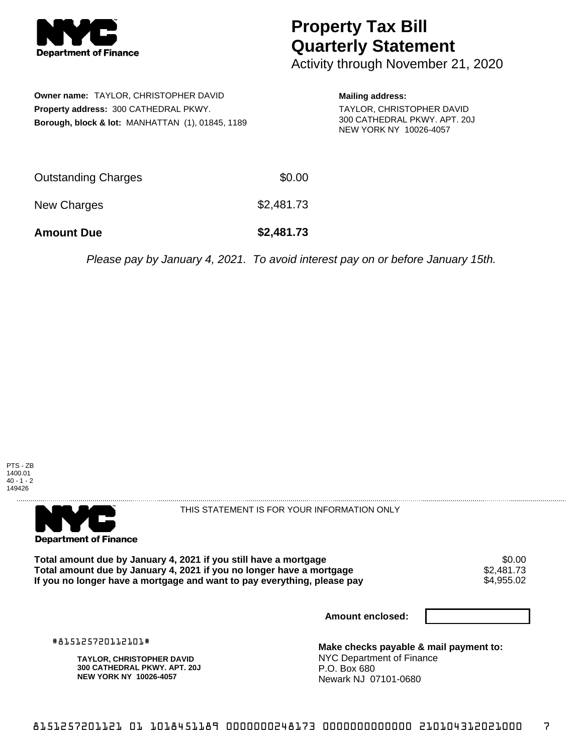

## **Property Tax Bill Quarterly Statement**

Activity through November 21, 2020

| Owner name: TAYLOR, CHRISTOPHER DAVID                       |  |  |  |  |
|-------------------------------------------------------------|--|--|--|--|
| <b>Property address: 300 CATHEDRAL PKWY.</b>                |  |  |  |  |
| <b>Borough, block &amp; lot: MANHATTAN (1), 01845, 1189</b> |  |  |  |  |

## **Mailing address:**

TAYLOR, CHRISTOPHER DAVID 300 CATHEDRAL PKWY. APT. 20J NEW YORK NY 10026-4057

| <b>Amount Due</b>   | \$2,481.73 |
|---------------------|------------|
| New Charges         | \$2,481.73 |
| Outstanding Charges | \$0.00     |

Please pay by January 4, 2021. To avoid interest pay on or before January 15th.





THIS STATEMENT IS FOR YOUR INFORMATION ONLY

Total amount due by January 4, 2021 if you still have a mortgage **\$0.00** \$0.00<br>Total amount due by January 4, 2021 if you no longer have a mortgage **\$2,481.73 Total amount due by January 4, 2021 if you no longer have a mortgage**  $$2,481.73$ **<br>If you no longer have a mortgage and want to pay everything, please pay <b>show that the summan state of the s**4.955 If you no longer have a mortgage and want to pay everything, please pay

**Amount enclosed:**

#815125720112101#

**TAYLOR, CHRISTOPHER DAVID 300 CATHEDRAL PKWY. APT. 20J NEW YORK NY 10026-4057**

**Make checks payable & mail payment to:** NYC Department of Finance P.O. Box 680 Newark NJ 07101-0680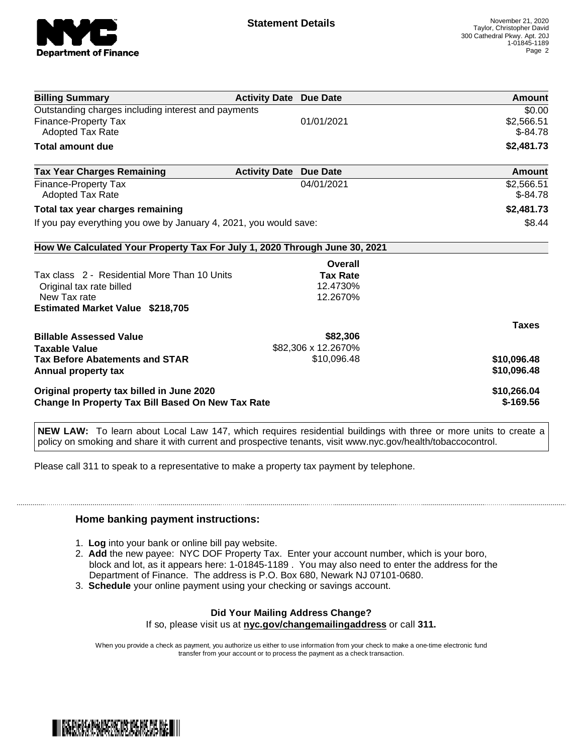

| <b>Billing Summary</b>                                                     | <b>Activity Date Due Date</b> |                     | Amount        |
|----------------------------------------------------------------------------|-------------------------------|---------------------|---------------|
| Outstanding charges including interest and payments                        |                               |                     | \$0.00        |
| Finance-Property Tax                                                       |                               | 01/01/2021          | \$2,566.51    |
| <b>Adopted Tax Rate</b>                                                    |                               |                     | $$-84.78$     |
| <b>Total amount due</b>                                                    |                               |                     | \$2,481.73    |
| <b>Tax Year Charges Remaining</b>                                          | <b>Activity Date</b>          | <b>Due Date</b>     | <b>Amount</b> |
| Finance-Property Tax                                                       |                               | 04/01/2021          | \$2,566.51    |
| Adopted Tax Rate                                                           |                               |                     | $$-84.78$     |
| Total tax year charges remaining                                           |                               |                     | \$2,481.73    |
| If you pay everything you owe by January 4, 2021, you would save:          |                               |                     | \$8.44        |
| How We Calculated Your Property Tax For July 1, 2020 Through June 30, 2021 |                               |                     |               |
|                                                                            |                               | Overall             |               |
| Tax class 2 - Residential More Than 10 Units                               |                               | <b>Tax Rate</b>     |               |
| Original tax rate billed                                                   |                               | 12.4730%            |               |
| New Tax rate                                                               |                               | 12.2670%            |               |
| <b>Estimated Market Value \$218,705</b>                                    |                               |                     |               |
|                                                                            |                               |                     | <b>Taxes</b>  |
| <b>Billable Assessed Value</b>                                             |                               | \$82,306            |               |
| <b>Taxable Value</b>                                                       |                               | \$82,306 x 12.2670% |               |
| <b>Tax Before Abatements and STAR</b>                                      |                               | \$10,096.48         | \$10,096.48   |
| Annual property tax                                                        |                               |                     | \$10,096.48   |
| Original property tax billed in June 2020                                  |                               |                     | \$10,266.04   |
| <b>Change In Property Tax Bill Based On New Tax Rate</b>                   |                               |                     | $$-169.56$    |

**NEW LAW:** To learn about Local Law 147, which requires residential buildings with three or more units to create a policy on smoking and share it with current and prospective tenants, visit www.nyc.gov/health/tobaccocontrol.

Please call 311 to speak to a representative to make a property tax payment by telephone.

## **Home banking payment instructions:**

- 1. **Log** into your bank or online bill pay website.
- 2. **Add** the new payee: NYC DOF Property Tax. Enter your account number, which is your boro, block and lot, as it appears here: 1-01845-1189 . You may also need to enter the address for the Department of Finance. The address is P.O. Box 680, Newark NJ 07101-0680.
- 3. **Schedule** your online payment using your checking or savings account.

## **Did Your Mailing Address Change?**

If so, please visit us at **nyc.gov/changemailingaddress** or call **311.**

When you provide a check as payment, you authorize us either to use information from your check to make a one-time electronic fund transfer from your account or to process the payment as a check transaction.